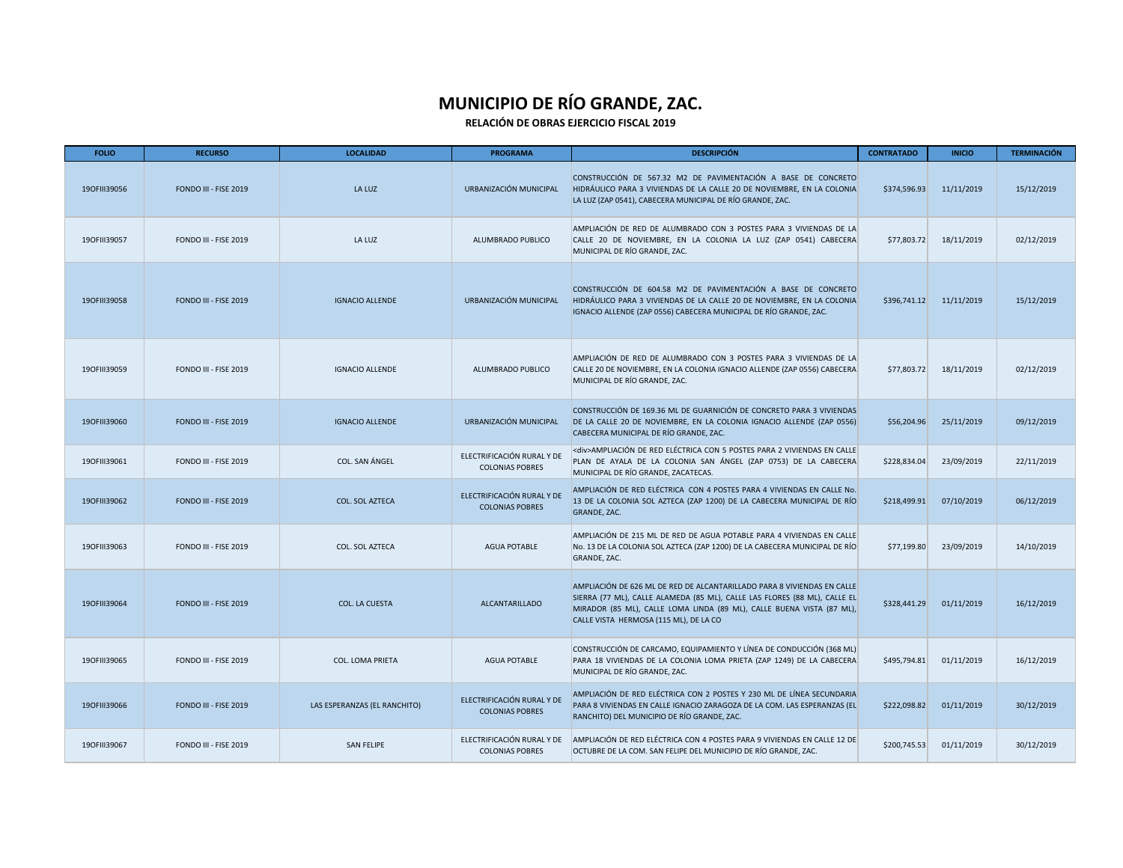| <b>FOLIO</b> | <b>RECURSO</b>        | <b>LOCALIDAD</b>             | <b>PROGRAMA</b>                                      | <b>DESCRIPCIÓN</b>                                                                                                                                                                                                                                                      | <b>CONTRATADO</b> | <b>INICIO</b> | <b>TERMINACIÓN</b> |
|--------------|-----------------------|------------------------------|------------------------------------------------------|-------------------------------------------------------------------------------------------------------------------------------------------------------------------------------------------------------------------------------------------------------------------------|-------------------|---------------|--------------------|
| 190FIII39056 | FONDO III - FISE 2019 | LA LUZ                       | URBANIZACIÓN MUNICIPAL                               | CONSTRUCCIÓN DE 567.32 M2 DE PAVIMENTACIÓN A BASE DE CONCRETO<br>HIDRÁULICO PARA 3 VIVIENDAS DE LA CALLE 20 DE NOVIEMBRE, EN LA COLONIA<br>LA LUZ (ZAP 0541), CABECERA MUNICIPAL DE RÍO GRANDE, ZAC.                                                                    | \$374,596.93      | 11/11/2019    | 15/12/2019         |
| 190FIII39057 | FONDO III - FISE 2019 | LA LUZ                       | ALUMBRADO PUBLICO                                    | AMPLIACIÓN DE RED DE ALUMBRADO CON 3 POSTES PARA 3 VIVIENDAS DE LA<br>CALLE 20 DE NOVIEMBRE, EN LA COLONIA LA LUZ (ZAP 0541) CABECERA<br>MUNICIPAL DE RÍO GRANDE, ZAC.                                                                                                  | \$77,803.72       | 18/11/2019    | 02/12/2019         |
| 190FIII39058 | FONDO III - FISE 2019 | <b>IGNACIO ALLENDE</b>       | URBANIZACIÓN MUNICIPAL                               | CONSTRUCCIÓN DE 604.58 M2 DE PAVIMENTACIÓN A BASE DE CONCRETO<br>HIDRÁULICO PARA 3 VIVIENDAS DE LA CALLE 20 DE NOVIEMBRE, EN LA COLONIA<br>IGNACIO ALLENDE (ZAP 0556) CABECERA MUNICIPAL DE RÍO GRANDE, ZAC.                                                            | \$396,741.12      | 11/11/2019    | 15/12/2019         |
| 190FIII39059 | FONDO III - FISE 2019 | <b>IGNACIO ALLENDE</b>       | ALUMBRADO PUBLICO                                    | AMPLIACIÓN DE RED DE ALUMBRADO CON 3 POSTES PARA 3 VIVIENDAS DE LA<br>CALLE 20 DE NOVIEMBRE, EN LA COLONIA IGNACIO ALLENDE (ZAP 0556) CABECERA<br>MUNICIPAL DE RÍO GRANDE, ZAC.                                                                                         | \$77,803.72       | 18/11/2019    | 02/12/2019         |
| 190FIII39060 | FONDO III - FISE 2019 | <b>IGNACIO ALLENDE</b>       | URBANIZACIÓN MUNICIPAL                               | CONSTRUCCIÓN DE 169.36 ML DE GUARNICIÓN DE CONCRETO PARA 3 VIVIENDAS<br>DE LA CALLE 20 DE NOVIEMBRE, EN LA COLONIA IGNACIO ALLENDE (ZAP 0556)<br>CABECERA MUNICIPAL DE RÍO GRANDE, ZAC.                                                                                 | \$56,204.96       | 25/11/2019    | 09/12/2019         |
| 190FIII39061 | FONDO III - FISE 2019 | COL. SAN ÁNGEL               | ELECTRIFICACIÓN RURAL Y DE<br><b>COLONIAS POBRES</b> | <div>AMPLIACIÓN DE RED ELÉCTRICA CON 5 POSTES PARA 2 VIVIENDAS EN CALLE<br/>PLAN DE AYALA DE LA COLONIA SAN ÁNGEL (ZAP 0753) DE LA CABECERA<br/>MUNICIPAL DE RÍO GRANDE, ZACATECAS.</div>                                                                               | \$228,834.04      | 23/09/2019    | 22/11/2019         |
| 190FIII39062 | FONDO III - FISE 2019 | <b>COL. SOL AZTECA</b>       | ELECTRIFICACIÓN RURAL Y DE<br><b>COLONIAS POBRES</b> | AMPLIACIÓN DE RED ELÉCTRICA CON 4 POSTES PARA 4 VIVIENDAS EN CALLE No.<br>13 DE LA COLONIA SOL AZTECA (ZAP 1200) DE LA CABECERA MUNICIPAL DE RÍO<br>GRANDE, ZAC.                                                                                                        | \$218,499.91      | 07/10/2019    | 06/12/2019         |
| 190FIII39063 | FONDO III - FISE 2019 | COL. SOL AZTECA              | <b>AGUA POTABLE</b>                                  | AMPLIACIÓN DE 215 ML DE RED DE AGUA POTABLE PARA 4 VIVIENDAS EN CALLE<br>No. 13 DE LA COLONIA SOL AZTECA (ZAP 1200) DE LA CABECERA MUNICIPAL DE RÍO<br>GRANDE, ZAC.                                                                                                     | \$77,199.80       | 23/09/2019    | 14/10/2019         |
| 190FIII39064 | FONDO III - FISE 2019 | COL. LA CUESTA               | <b>ALCANTARILLADO</b>                                | AMPLIACIÓN DE 626 ML DE RED DE ALCANTARILLADO PARA 8 VIVIENDAS EN CALLE<br>SIERRA (77 ML), CALLE ALAMEDA (85 ML), CALLE LAS FLORES (88 ML), CALLE EL<br>MIRADOR (85 ML), CALLE LOMA LINDA (89 ML), CALLE BUENA VISTA (87 ML),<br>CALLE VISTA HERMOSA (115 ML), DE LA CO | \$328,441.29      | 01/11/2019    | 16/12/2019         |
| 190FIII39065 | FONDO III - FISE 2019 | <b>COL. LOMA PRIETA</b>      | <b>AGUA POTABLE</b>                                  | CONSTRUCCIÓN DE CARCAMO, EQUIPAMIENTO Y LÍNEA DE CONDUCCIÓN (368 ML)<br>PARA 18 VIVIENDAS DE LA COLONIA LOMA PRIETA (ZAP 1249) DE LA CABECERA<br>MUNICIPAL DE RÍO GRANDE, ZAC.                                                                                          | \$495,794.81      | 01/11/2019    | 16/12/2019         |
| 190FIII39066 | FONDO III - FISE 2019 | LAS ESPERANZAS (EL RANCHITO) | ELECTRIFICACIÓN RURAL Y DE<br><b>COLONIAS POBRES</b> | AMPLIACIÓN DE RED ELÉCTRICA CON 2 POSTES Y 230 ML DE LÍNEA SECUNDARIA<br>PARA 8 VIVIENDAS EN CALLE IGNACIO ZARAGOZA DE LA COM. LAS ESPERANZAS (EL<br>RANCHITO) DEL MUNICIPIO DE RÍO GRANDE, ZAC.                                                                        | \$222,098.82      | 01/11/2019    | 30/12/2019         |
| 190FIII39067 | FONDO III - FISE 2019 | <b>SAN FELIPE</b>            | ELECTRIFICACIÓN RURAL Y DE<br><b>COLONIAS POBRES</b> | AMPLIACIÓN DE RED ELÉCTRICA CON 4 POSTES PARA 9 VIVIENDAS EN CALLE 12 DE<br>OCTUBRE DE LA COM. SAN FELIPE DEL MUNICIPIO DE RÍO GRANDE, ZAC.                                                                                                                             | \$200,745.53      | 01/11/2019    | 30/12/2019         |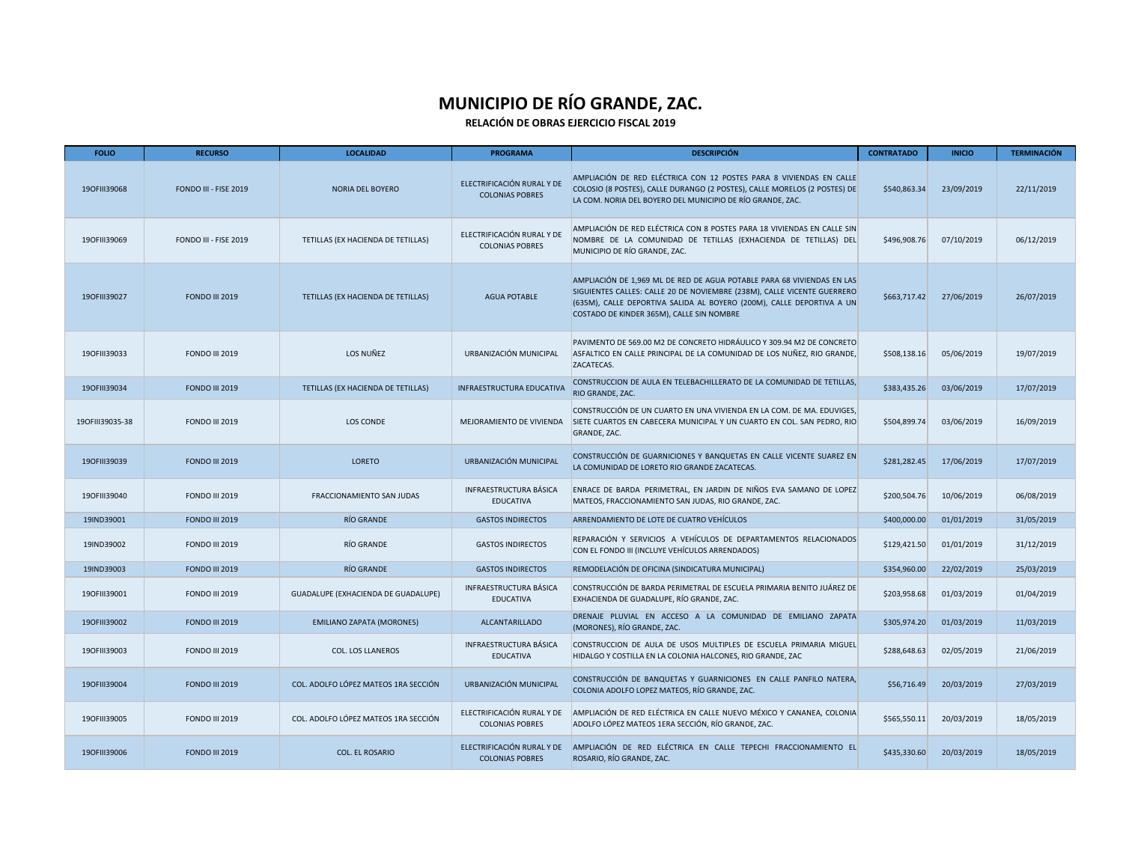| <b>FOLIO</b>    | <b>RECURSO</b>        | <b>LOCALIDAD</b>                     | <b>PROGRAMA</b>                                      | <b>DESCRIPCIÓN</b>                                                                                                                                                                                                                                                      | <b>CONTRATADO</b> | <b>INICIO</b> | <b>TERMINACIÓN</b> |
|-----------------|-----------------------|--------------------------------------|------------------------------------------------------|-------------------------------------------------------------------------------------------------------------------------------------------------------------------------------------------------------------------------------------------------------------------------|-------------------|---------------|--------------------|
| 190FIII39068    | FONDO III - FISE 2019 | <b>NORIA DEL BOYERO</b>              | ELECTRIFICACIÓN RURAL Y DE<br><b>COLONIAS POBRES</b> | AMPLIACIÓN DE RED ELÉCTRICA CON 12 POSTES PARA 8 VIVIENDAS EN CALLE<br>COLOSIO (8 POSTES), CALLE DURANGO (2 POSTES), CALLE MORELOS (2 POSTES) DE<br>LA COM. NORIA DEL BOYERO DEL MUNICIPIO DE RÍO GRANDE, ZAC.                                                          | \$540,863,34      | 23/09/2019    | 22/11/2019         |
| 190FIII39069    | FONDO III - FISE 2019 | TETILLAS (EX HACIENDA DE TETILLAS)   | ELECTRIFICACIÓN RURAL Y DE<br><b>COLONIAS POBRES</b> | AMPLIACIÓN DE RED ELÉCTRICA CON 8 POSTES PARA 18 VIVIENDAS EN CALLE SIN<br>NOMBRE DE LA COMUNIDAD DE TETILLAS (EXHACIENDA DE TETILLAS) DEL<br>MUNICIPIO DE RÍO GRANDE, ZAC.                                                                                             | \$496,908.76      | 07/10/2019    | 06/12/2019         |
| 190FIII39027    | <b>FONDO III 2019</b> | TETILLAS (EX HACIENDA DE TETILLAS)   | <b>AGUA POTABLE</b>                                  | AMPLIACIÓN DE 1,969 ML DE RED DE AGUA POTABLE PARA 68 VIVIENDAS EN LAS<br>SIGUIENTES CALLES: CALLE 20 DE NOVIEMBRE (238M), CALLE VICENTE GUERRERO<br>(635M), CALLE DEPORTIVA SALIDA AL BOYERO (200M), CALLE DEPORTIVA A UN<br>COSTADO DE KINDER 365M), CALLE SIN NOMBRE | \$663,717.42      | 27/06/2019    | 26/07/2019         |
| 190FIII39033    | <b>FONDO III 2019</b> | LOS NUÑEZ                            | URBANIZACIÓN MUNICIPAL                               | PAVIMENTO DE 569.00 M2 DE CONCRETO HIDRÁULICO Y 309.94 M2 DE CONCRETO<br>ASFALTICO EN CALLE PRINCIPAL DE LA COMUNIDAD DE LOS NUÑEZ. RIO GRANDE.<br>ZACATECAS.                                                                                                           | \$508,138.16      | 05/06/2019    | 19/07/2019         |
| 190FIII39034    | <b>FONDO III 2019</b> | TETILLAS (EX HACIENDA DE TETILLAS)   | INFRAESTRUCTURA EDUCATIVA                            | CONSTRUCCION DE AULA EN TELEBACHILLERATO DE LA COMUNIDAD DE TETILLAS,<br>RIO GRANDE, ZAC.                                                                                                                                                                               | \$383,435.26      | 03/06/2019    | 17/07/2019         |
| 190FIII39035-38 | <b>FONDO III 2019</b> | <b>LOS CONDE</b>                     | MEJORAMIENTO DE VIVIENDA                             | CONSTRUCCIÓN DE UN CUARTO EN UNA VIVIENDA EN LA COM. DE MA. EDUVIGES,<br>SIETE CUARTOS EN CABECERA MUNICIPAL Y UN CUARTO EN COL. SAN PEDRO, RIO<br>GRANDE, ZAC.                                                                                                         | \$504,899.74      | 03/06/2019    | 16/09/2019         |
| 190FIII39039    | <b>FONDO III 2019</b> | <b>LORETO</b>                        | URBANIZACIÓN MUNICIPAL                               | CONSTRUCCIÓN DE GUARNICIONES Y BANQUETAS EN CALLE VICENTE SUAREZ EN<br>LA COMUNIDAD DE LORETO RIO GRANDE ZACATECAS.                                                                                                                                                     | \$281,282.45      | 17/06/2019    | 17/07/2019         |
| 190FIII39040    | <b>FONDO III 2019</b> | FRACCIONAMIENTO SAN JUDAS            | <b>INFRAESTRUCTURA BÁSICA</b><br><b>EDUCATIVA</b>    | ENRACE DE BARDA PERIMETRAL, EN JARDIN DE NIÑOS EVA SAMANO DE LOPEZ<br>MATEOS, FRACCIONAMIENTO SAN JUDAS, RIO GRANDE, ZAC.                                                                                                                                               | \$200,504.76      | 10/06/2019    | 06/08/2019         |
| 19IND39001      | <b>FONDO III 2019</b> | RÍO GRANDE                           | <b>GASTOS INDIRECTOS</b>                             | ARRENDAMIENTO DE LOTE DE CUATRO VEHÍCULOS                                                                                                                                                                                                                               | \$400,000.00      | 01/01/2019    | 31/05/2019         |
| 19IND39002      | <b>FONDO III 2019</b> | RÍO GRANDE                           | <b>GASTOS INDIRECTOS</b>                             | REPARACIÓN Y SERVICIOS A VEHÍCULOS DE DEPARTAMENTOS RELACIONADOS<br>CON EL FONDO III (INCLUYE VEHÍCULOS ARRENDADOS)                                                                                                                                                     | \$129,421.50      | 01/01/2019    | 31/12/2019         |
| 19IND39003      | <b>FONDO III 2019</b> | RÍO GRANDE                           | <b>GASTOS INDIRECTOS</b>                             | REMODELACIÓN DE OFICINA (SINDICATURA MUNICIPAL)                                                                                                                                                                                                                         | \$354,960.00      | 22/02/2019    | 25/03/2019         |
| 190FIII39001    | <b>FONDO III 2019</b> | GUADALUPE (EXHACIENDA DE GUADALUPE)  | INFRAESTRUCTURA BÁSICA<br><b>EDUCATIVA</b>           | CONSTRUCCIÓN DE BARDA PERIMETRAL DE ESCUELA PRIMARIA BENITO JUÁREZ DE<br>EXHACIENDA DE GUADALUPE, RÍO GRANDE, ZAC.                                                                                                                                                      | \$203,958.68      | 01/03/2019    | 01/04/2019         |
| 190FIII39002    | <b>FONDO III 2019</b> | <b>EMILIANO ZAPATA (MORONES)</b>     | ALCANTARILLADO                                       | DRENAJE PLUVIAL EN ACCESO A LA COMUNIDAD DE EMILIANO ZAPATA<br>(MORONES), RÍO GRANDE, ZAC.                                                                                                                                                                              | \$305,974.20      | 01/03/2019    | 11/03/2019         |
| 190FIII39003    | <b>FONDO III 2019</b> | <b>COL. LOS LLANEROS</b>             | <b>INFRAESTRUCTURA BÁSICA</b><br><b>EDUCATIVA</b>    | CONSTRUCCION DE AULA DE USOS MULTIPLES DE ESCUELA PRIMARIA MIGUEL<br>HIDALGO Y COSTILLA EN LA COLONIA HALCONES, RIO GRANDE, ZAC                                                                                                                                         | \$288,648.63      | 02/05/2019    | 21/06/2019         |
| 190FIII39004    | <b>FONDO III 2019</b> | COL. ADOLFO LÓPEZ MATEOS 1RA SECCIÓN | URBANIZACIÓN MUNICIPAL                               | CONSTRUCCIÓN DE BANQUETAS Y GUARNICIONES EN CALLE PANFILO NATERA,<br>COLONIA ADOLFO LOPEZ MATEOS, RÍO GRANDE, ZAC.                                                                                                                                                      | \$56,716.49       | 20/03/2019    | 27/03/2019         |
| 190FIII39005    | <b>FONDO III 2019</b> | COL. ADOLFO LÓPEZ MATEOS 1RA SECCIÓN | ELECTRIFICACIÓN RURAL Y DE<br><b>COLONIAS POBRES</b> | AMPLIACIÓN DE RED ELÉCTRICA EN CALLE NUEVO MÉXICO Y CANANEA, COLONIA<br>ADOLFO LÓPEZ MATEOS 1ERA SECCIÓN, RÍO GRANDE, ZAC.                                                                                                                                              | \$565,550.11      | 20/03/2019    | 18/05/2019         |
| 190FIII39006    | <b>FONDO III 2019</b> | <b>COL. EL ROSARIO</b>               | ELECTRIFICACIÓN RURAL Y DE<br><b>COLONIAS POBRES</b> | AMPLIACIÓN DE RED ELÉCTRICA EN CALLE TEPECHI FRACCIONAMIENTO EL<br>ROSARIO, RÍO GRANDE, ZAC.                                                                                                                                                                            | \$435,330.60      | 20/03/2019    | 18/05/2019         |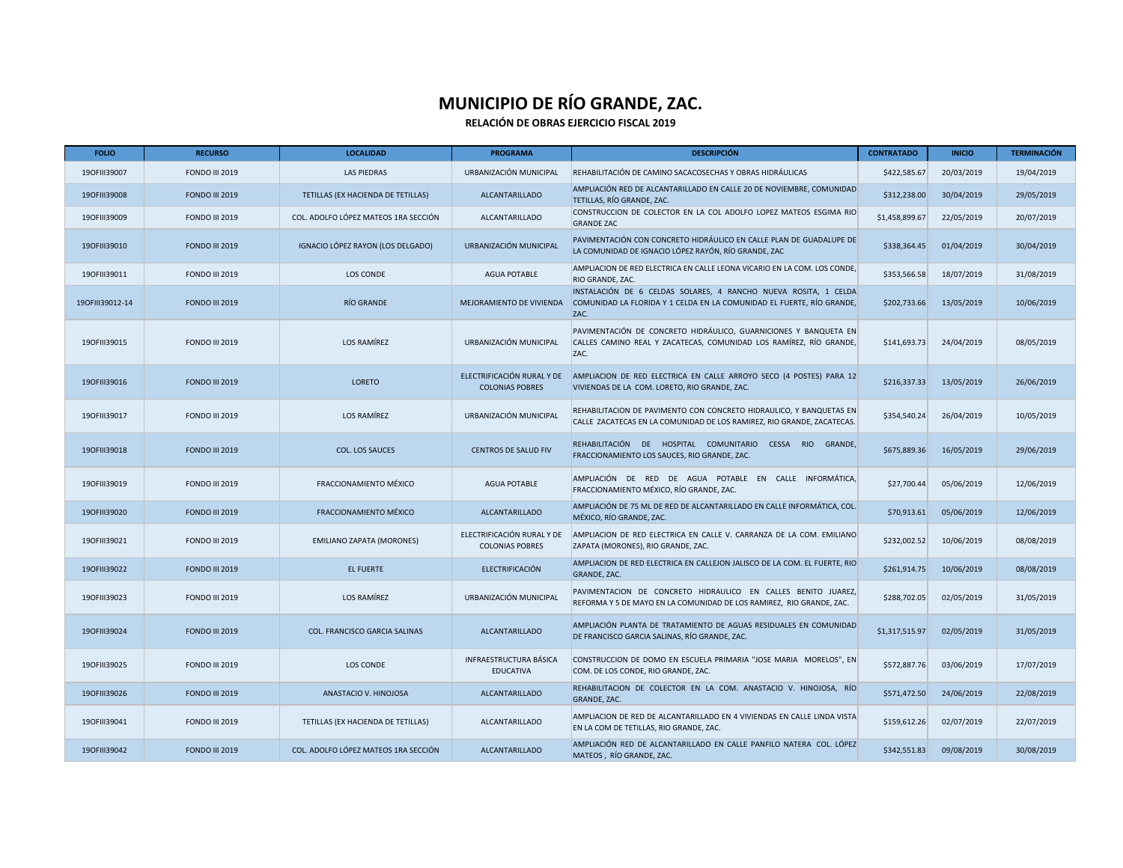| <b>FOLIO</b>    | <b>RECURSO</b>        | <b>LOCALIDAD</b>                     | <b>PROGRAMA</b>                                      | <b>DESCRIPCIÓN</b>                                                                                                                               | <b>CONTRATADO</b> | <b>INICIO</b> | <b>TERMINACIÓN</b> |
|-----------------|-----------------------|--------------------------------------|------------------------------------------------------|--------------------------------------------------------------------------------------------------------------------------------------------------|-------------------|---------------|--------------------|
| 190FIII39007    | <b>FONDO III 2019</b> | <b>LAS PIEDRAS</b>                   | URBANIZACIÓN MUNICIPAL                               | REHABILITACIÓN DE CAMINO SACACOSECHAS Y OBRAS HIDRÁULICAS                                                                                        | \$422,585.67      | 20/03/2019    | 19/04/2019         |
| 190FIII39008    | <b>FONDO III 2019</b> | TETILLAS (EX HACIENDA DE TETILLAS)   | ALCANTARILLADO                                       | AMPLIACIÓN RED DE ALCANTARILLADO EN CALLE 20 DE NOVIEMBRE, COMUNIDAD<br>TETILLAS. RÍO GRANDE. ZAC.                                               | \$312,238.00      | 30/04/2019    | 29/05/2019         |
| 190FIII39009    | <b>FONDO III 2019</b> | COL. ADOLFO LÓPEZ MATEOS 1RA SECCIÓN | ALCANTARILLADO                                       | CONSTRUCCION DE COLECTOR EN LA COL ADOLFO LOPEZ MATEOS ESGIMA RIO<br><b>GRANDE ZAC</b>                                                           | \$1,458,899.67    | 22/05/2019    | 20/07/2019         |
| 190FIII39010    | <b>FONDO III 2019</b> | IGNACIO LÓPEZ RAYON (LOS DELGADO)    | URBANIZACIÓN MUNICIPAL                               | PAVIMENTACIÓN CON CONCRETO HIDRÁULICO EN CALLE PLAN DE GUADALUPE DE<br>LA COMUNIDAD DE IGNACIO LÓPEZ RAYÓN, RÍO GRANDE, ZAC                      | \$338,364.45      | 01/04/2019    | 30/04/2019         |
| 190FIII39011    | <b>FONDO III 2019</b> | <b>LOS CONDE</b>                     | <b>AGUA POTABLE</b>                                  | AMPLIACION DE RED ELECTRICA EN CALLE LEONA VICARIO EN LA COM. LOS CONDE,<br>RIO GRANDE, ZAC.                                                     | \$353,566.58      | 18/07/2019    | 31/08/2019         |
| 190FIII39012-14 | <b>FONDO III 2019</b> | RÍO GRANDE                           | MEJORAMIENTO DE VIVIENDA                             | INSTALACIÓN DE 6 CELDAS SOLARES, 4 RANCHO NUEVA ROSITA, 1 CELDA<br>COMUNIDAD LA FLORIDA Y 1 CELDA EN LA COMUNIDAD EL FUERTE, RÍO GRANDE,<br>ZAC. | \$202,733.66      | 13/05/2019    | 10/06/2019         |
| 190FIII39015    | <b>FONDO III 2019</b> | LOS RAMÍREZ                          | URBANIZACIÓN MUNICIPAL                               | PAVIMENTACIÓN DE CONCRETO HIDRÁULICO, GUARNICIONES Y BANQUETA EN<br>CALLES CAMINO REAL Y ZACATECAS, COMUNIDAD LOS RAMÍREZ, RÍO GRANDE,<br>ZAC.   | \$141,693.73      | 24/04/2019    | 08/05/2019         |
| 190FIII39016    | <b>FONDO III 2019</b> | <b>LORETO</b>                        | ELECTRIFICACIÓN RURAL Y DE<br><b>COLONIAS POBRES</b> | AMPLIACION DE RED ELECTRICA EN CALLE ARROYO SECO (4 POSTES) PARA 12<br>VIVIENDAS DE LA COM. LORETO, RIO GRANDE, ZAC.                             | \$216,337.33      | 13/05/2019    | 26/06/2019         |
| 190FIII39017    | <b>FONDO III 2019</b> | LOS RAMÍREZ                          | URBANIZACIÓN MUNICIPAL                               | REHABILITACION DE PAVIMENTO CON CONCRETO HIDRAULICO, Y BANQUETAS EN<br>CALLE ZACATECAS EN LA COMUNIDAD DE LOS RAMIREZ, RIO GRANDE, ZACATECAS.    | \$354,540.24      | 26/04/2019    | 10/05/2019         |
| 190FIII39018    | <b>FONDO III 2019</b> | <b>COL. LOS SAUCES</b>               | <b>CENTROS DE SALUD FIV</b>                          | REHABILITACIÓN DE HOSPITAL COMUNITARIO CESSA RIO<br><b>GRANDE.</b><br>FRACCIONAMIENTO LOS SAUCES, RIO GRANDE, ZAC.                               | \$675,889.36      | 16/05/2019    | 29/06/2019         |
| 190FIII39019    | <b>FONDO III 2019</b> | <b>FRACCIONAMIENTO MÉXICO</b>        | <b>AGUA POTABLE</b>                                  | AMPLIACIÓN DE RED DE AGUA POTABLE EN CALLE INFORMÁTICA,<br>FRACCIONAMIENTO MÉXICO, RÍO GRANDE, ZAC.                                              | \$27,700.44       | 05/06/2019    | 12/06/2019         |
| 190FIII39020    | <b>FONDO III 2019</b> | <b>FRACCIONAMIENTO MÉXICO</b>        | <b>ALCANTARILLADO</b>                                | AMPLIACIÓN DE 75 ML DE RED DE ALCANTARILLADO EN CALLE INFORMÁTICA, COL.<br>MÉXICO, RÍO GRANDE, ZAC.                                              | \$70,913.61       | 05/06/2019    | 12/06/2019         |
| 190FIII39021    | <b>FONDO III 2019</b> | <b>EMILIANO ZAPATA (MORONES)</b>     | ELECTRIFICACIÓN RURAL Y DE<br><b>COLONIAS POBRES</b> | AMPLIACION DE RED ELECTRICA EN CALLE V. CARRANZA DE LA COM. EMILIANO<br>ZAPATA (MORONES), RIO GRANDE, ZAC.                                       | \$232,002.52      | 10/06/2019    | 08/08/2019         |
| 190FIII39022    | <b>FONDO III 2019</b> | <b>EL FUERTE</b>                     | ELECTRIFICACIÓN                                      | AMPLIACION DE RED ELECTRICA EN CALLEJON JALISCO DE LA COM. EL FUERTE, RIO<br>GRANDE, ZAC.                                                        | \$261,914.75      | 10/06/2019    | 08/08/2019         |
| 190FIII39023    | <b>FONDO III 2019</b> | LOS RAMÍREZ                          | URBANIZACIÓN MUNICIPAL                               | PAVIMENTACION DE CONCRETO HIDRAULICO EN CALLES BENITO JUAREZ,<br>REFORMA Y 5 DE MAYO EN LA COMUNIDAD DE LOS RAMIREZ, RIO GRANDE, ZAC.            | \$288,702.05      | 02/05/2019    | 31/05/2019         |
| 190FIII39024    | <b>FONDO III 2019</b> | <b>COL. FRANCISCO GARCIA SALINAS</b> | <b>ALCANTARILLADO</b>                                | AMPLIACIÓN PLANTA DE TRATAMIENTO DE AGUAS RESIDUALES EN COMUNIDAD<br>DE FRANCISCO GARCIA SALINAS, RÍO GRANDE, ZAC.                               | \$1,317,515.97    | 02/05/2019    | 31/05/2019         |
| 190FIII39025    | <b>FONDO III 2019</b> | LOS CONDE                            | <b>INFRAESTRUCTURA BÁSICA</b><br><b>EDUCATIVA</b>    | CONSTRUCCION DE DOMO EN ESCUELA PRIMARIA "JOSE MARIA MORELOS", EN<br>COM. DE LOS CONDE, RIO GRANDE, ZAC.                                         | \$572,887.76      | 03/06/2019    | 17/07/2019         |
| 190FIII39026    | <b>FONDO III 2019</b> | ANASTACIO V. HINOJOSA                | <b>ALCANTARILLADO</b>                                | REHABILITACION DE COLECTOR EN LA COM. ANASTACIO V. HINOJOSA, RÍO<br>GRANDE, ZAC.                                                                 | \$571,472.50      | 24/06/2019    | 22/08/2019         |
| 190FIII39041    | <b>FONDO III 2019</b> | TETILLAS (EX HACIENDA DE TETILLAS)   | ALCANTARILLADO                                       | AMPLIACION DE RED DE ALCANTARILLADO EN 4 VIVIENDAS EN CALLE LINDA VISTA<br>EN LA COM DE TETILLAS, RIO GRANDE, ZAC.                               | \$159,612.26      | 02/07/2019    | 22/07/2019         |
| 190FIII39042    | <b>FONDO III 2019</b> | COL. ADOLFO LÓPEZ MATEOS 1RA SECCIÓN | <b>ALCANTARILLADO</b>                                | AMPLIACIÓN RED DE ALCANTARILLADO EN CALLE PANFILO NATERA COL. LÓPEZ<br>MATEOS, RÍO GRANDE, ZAC.                                                  | \$342,551.83      | 09/08/2019    | 30/08/2019         |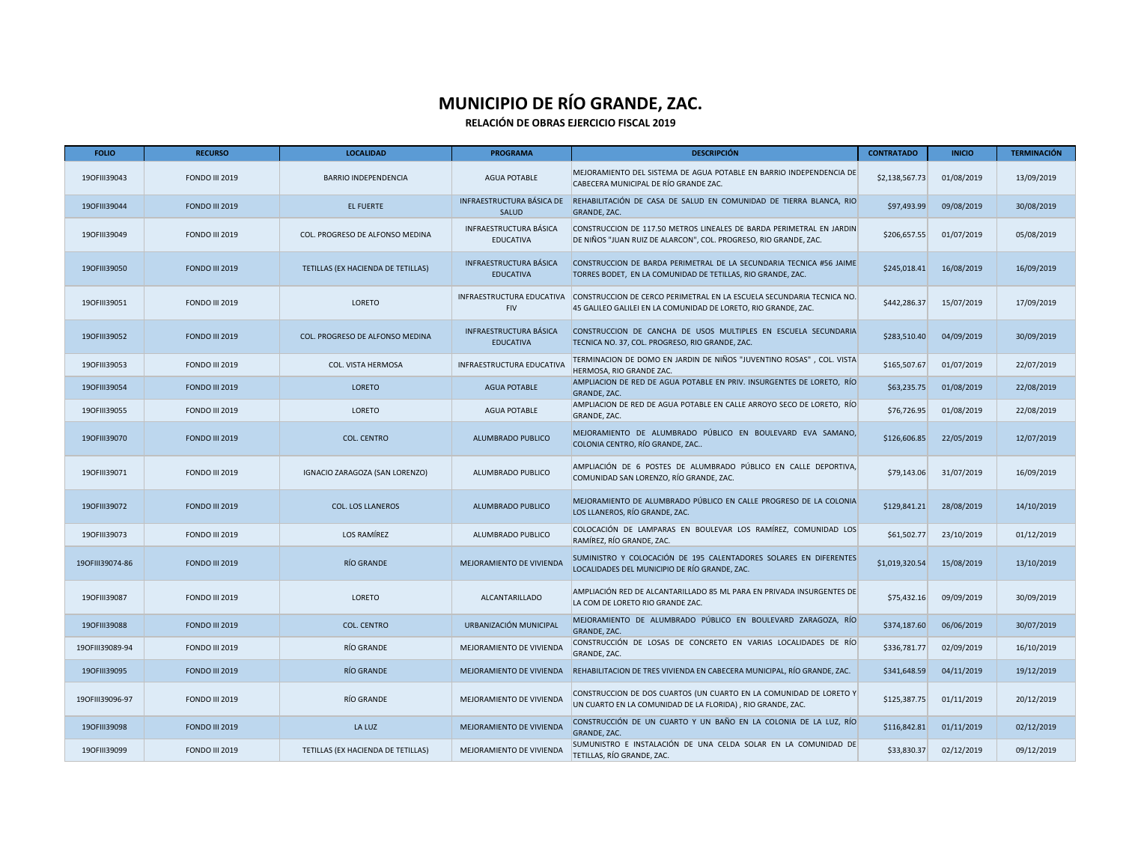| <b>FOLIO</b>    | <b>RECURSO</b>        | <b>LOCALIDAD</b>                   | <b>PROGRAMA</b>                                   | <b>DESCRIPCIÓN</b>                                                                                                                       | <b>CONTRATADO</b> | <b>INICIO</b> | <b>TERMINACIÓN</b> |
|-----------------|-----------------------|------------------------------------|---------------------------------------------------|------------------------------------------------------------------------------------------------------------------------------------------|-------------------|---------------|--------------------|
| 190FIII39043    | <b>FONDO III 2019</b> | <b>BARRIO INDEPENDENCIA</b>        | <b>AGUA POTABLE</b>                               | MEJORAMIENTO DEL SISTEMA DE AGUA POTABLE EN BARRIO INDEPENDENCIA DE<br>CABECERA MUNICIPAL DE RÍO GRANDE ZAC.                             | \$2,138,567.73    | 01/08/2019    | 13/09/2019         |
| 190FIII39044    | <b>FONDO III 2019</b> | <b>EL FUERTE</b>                   | INFRAESTRUCTURA BÁSICA DE<br>SALUD                | REHABILITACIÓN DE CASA DE SALUD EN COMUNIDAD DE TIERRA BLANCA, RIO<br>GRANDE, ZAC.                                                       | \$97,493.99       | 09/08/2019    | 30/08/2019         |
| 190FIII39049    | <b>FONDO III 2019</b> | COL. PROGRESO DE ALFONSO MEDINA    | INFRAESTRUCTURA BÁSICA<br><b>EDUCATIVA</b>        | CONSTRUCCION DE 117.50 METROS LINEALES DE BARDA PERIMETRAL EN JARDIN<br>DE NIÑOS "JUAN RUIZ DE ALARCON", COL. PROGRESO, RIO GRANDE, ZAC. | \$206,657.55      | 01/07/2019    | 05/08/2019         |
| 190FIII39050    | <b>FONDO III 2019</b> | TETILLAS (EX HACIENDA DE TETILLAS) | <b>INFRAESTRUCTURA BÁSICA</b><br><b>EDUCATIVA</b> | CONSTRUCCION DE BARDA PERIMETRAL DE LA SECUNDARIA TECNICA #56 JAIME<br>TORRES BODET, EN LA COMUNIDAD DE TETILLAS, RIO GRANDE, ZAC.       | \$245,018.41      | 16/08/2019    | 16/09/2019         |
| 190FIII39051    | <b>FONDO III 2019</b> | LORETO                             | INFRAESTRUCTURA EDUCATIVA<br><b>FIV</b>           | CONSTRUCCION DE CERCO PERIMETRAL EN LA ESCUELA SECUNDARIA TECNICA NO.<br>45 GALILEO GALILEI EN LA COMUNIDAD DE LORETO, RIO GRANDE, ZAC.  | \$442,286.37      | 15/07/2019    | 17/09/2019         |
| 190FIII39052    | <b>FONDO III 2019</b> | COL. PROGRESO DE ALFONSO MEDINA    | <b>INFRAESTRUCTURA BÁSICA</b><br><b>EDUCATIVA</b> | CONSTRUCCION DE CANCHA DE USOS MULTIPLES EN ESCUELA SECUNDARIA<br>TECNICA NO. 37, COL. PROGRESO, RIO GRANDE, ZAC.                        | \$283,510.40      | 04/09/2019    | 30/09/2019         |
| 190FIII39053    | <b>FONDO III 2019</b> | COL. VISTA HERMOSA                 | INFRAESTRUCTURA EDUCATIVA                         | TERMINACION DE DOMO EN JARDIN DE NIÑOS "JUVENTINO ROSAS", COL. VISTA<br>HERMOSA, RIO GRANDE ZAC.                                         | \$165,507.67      | 01/07/2019    | 22/07/2019         |
| 190FIII39054    | <b>FONDO III 2019</b> | <b>LORETO</b>                      | <b>AGUA POTABLE</b>                               | AMPLIACION DE RED DE AGUA POTABLE EN PRIV. INSURGENTES DE LORETO, RÍO<br>GRANDE, ZAC.                                                    | \$63,235.75       | 01/08/2019    | 22/08/2019         |
| 190FIII39055    | <b>FONDO III 2019</b> | LORETO                             | <b>AGUA POTABLE</b>                               | AMPLIACION DE RED DE AGUA POTABLE EN CALLE ARROYO SECO DE LORETO, RÍO<br>GRANDE, ZAC.                                                    | \$76,726.95       | 01/08/2019    | 22/08/2019         |
| 190FIII39070    | <b>FONDO III 2019</b> | <b>COL. CENTRO</b>                 | ALUMBRADO PUBLICO                                 | MEJORAMIENTO DE ALUMBRADO PÚBLICO EN BOULEVARD EVA SAMANO,<br>COLONIA CENTRO, RÍO GRANDE, ZAC                                            | \$126,606.85      | 22/05/2019    | 12/07/2019         |
| 190FIII39071    | <b>FONDO III 2019</b> | IGNACIO ZARAGOZA (SAN LORENZO)     | ALUMBRADO PUBLICO                                 | AMPLIACIÓN DE 6 POSTES DE ALUMBRADO PÚBLICO EN CALLE DEPORTIVA,<br>COMUNIDAD SAN LORENZO, RÍO GRANDE, ZAC.                               | \$79,143.06       | 31/07/2019    | 16/09/2019         |
| 190FIII39072    | <b>FONDO III 2019</b> | <b>COL. LOS LLANEROS</b>           | ALUMBRADO PUBLICO                                 | MEJORAMIENTO DE ALUMBRADO PÚBLICO EN CALLE PROGRESO DE LA COLONIA<br>LOS LLANEROS, RÍO GRANDE, ZAC.                                      | \$129,841.21      | 28/08/2019    | 14/10/2019         |
| 190FIII39073    | <b>FONDO III 2019</b> | LOS RAMÍREZ                        | ALUMBRADO PUBLICO                                 | COLOCACIÓN DE LAMPARAS EN BOULEVAR LOS RAMÍREZ, COMUNIDAD LOS<br>RAMÍREZ, RÍO GRANDE, ZAC.                                               | \$61,502.77       | 23/10/2019    | 01/12/2019         |
| 190FIII39074-86 | <b>FONDO III 2019</b> | <b>RÍO GRANDE</b>                  | MEJORAMIENTO DE VIVIENDA                          | SUMINISTRO Y COLOCACIÓN DE 195 CALENTADORES SOLARES EN DIFERENTES<br>LOCALIDADES DEL MUNICIPIO DE RÍO GRANDE, ZAC.                       | \$1,019,320.54    | 15/08/2019    | 13/10/2019         |
| 190FIII39087    | <b>FONDO III 2019</b> | LORETO                             | ALCANTARILLADO                                    | AMPLIACIÓN RED DE ALCANTARILLADO 85 ML PARA EN PRIVADA INSURGENTES DE<br>LA COM DE LORETO RIO GRANDE ZAC.                                | \$75,432.16       | 09/09/2019    | 30/09/2019         |
| 190FIII39088    | <b>FONDO III 2019</b> | <b>COL. CENTRO</b>                 | URBANIZACIÓN MUNICIPAL                            | MEJORAMIENTO DE ALUMBRADO PÚBLICO EN BOULEVARD ZARAGOZA, RÍO<br>GRANDE, ZAC.                                                             | \$374,187.60      | 06/06/2019    | 30/07/2019         |
| 190FIII39089-94 | <b>FONDO III 2019</b> | RÍO GRANDE                         | MEJORAMIENTO DE VIVIENDA                          | CONSTRUCCIÓN DE LOSAS DE CONCRETO EN VARIAS LOCALIDADES DE RÍO<br>GRANDE, ZAC.                                                           | \$336,781.77      | 02/09/2019    | 16/10/2019         |
| 190FIII39095    | <b>FONDO III 2019</b> | <b>RÍO GRANDE</b>                  | MEJORAMIENTO DE VIVIENDA                          | REHABILITACION DE TRES VIVIENDA EN CABECERA MUNICIPAL, RÍO GRANDE, ZAC.                                                                  | \$341,648.59      | 04/11/2019    | 19/12/2019         |
| 190FIII39096-97 | <b>FONDO III 2019</b> | RÍO GRANDE                         | MEJORAMIENTO DE VIVIENDA                          | CONSTRUCCION DE DOS CUARTOS (UN CUARTO EN LA COMUNIDAD DE LORETO Y<br>UN CUARTO EN LA COMUNIDAD DE LA FLORIDA), RIO GRANDE, ZAC.         | \$125,387.75      | 01/11/2019    | 20/12/2019         |
| 190FIII39098    | <b>FONDO III 2019</b> | LA LUZ                             | MEJORAMIENTO DE VIVIENDA                          | CONSTRUCCIÓN DE UN CUARTO Y UN BAÑO EN LA COLONIA DE LA LUZ, RÍO<br>GRANDE, ZAC.                                                         | \$116,842.81      | 01/11/2019    | 02/12/2019         |
| 190FIII39099    | <b>FONDO III 2019</b> | TETILLAS (EX HACIENDA DE TETILLAS) | MEJORAMIENTO DE VIVIENDA                          | SUMUNISTRO E INSTALACIÓN DE UNA CELDA SOLAR EN LA COMUNIDAD DE<br>TETILLAS, RÍO GRANDE, ZAC.                                             | \$33,830.37       | 02/12/2019    | 09/12/2019         |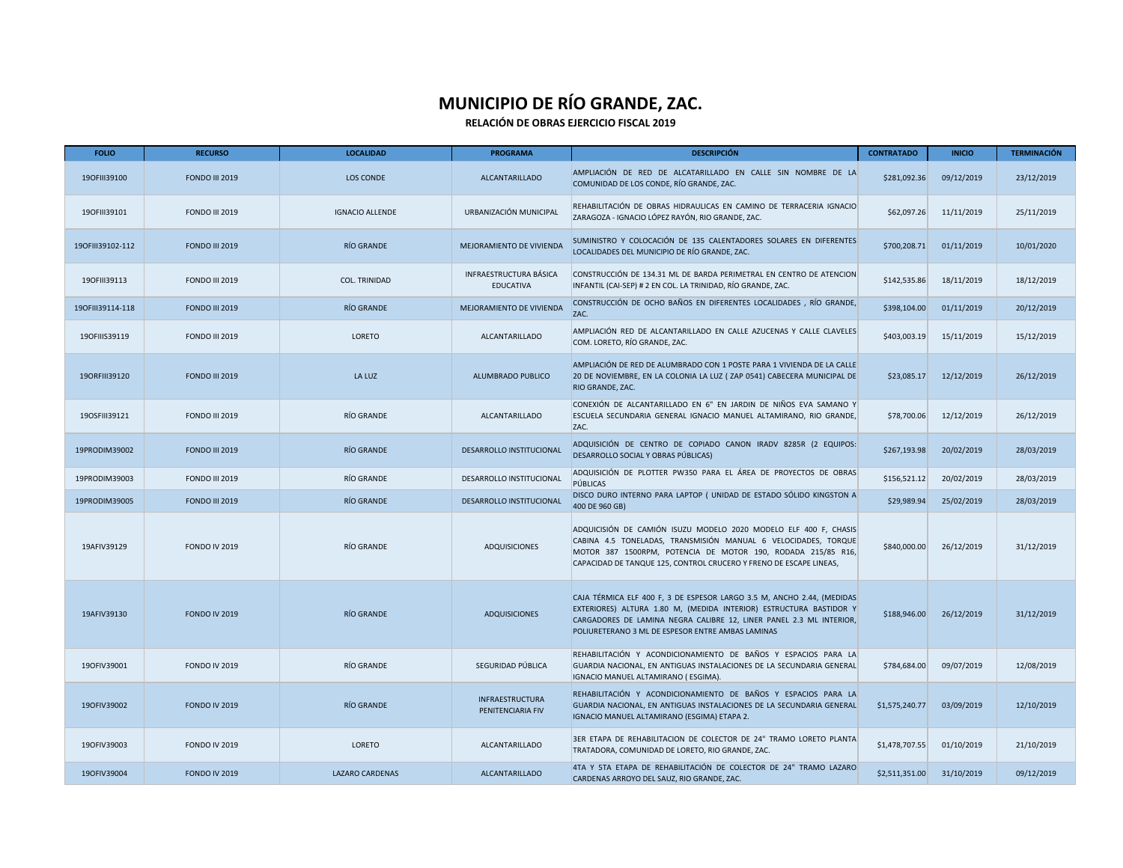| <b>FOLIO</b>     | <b>RECURSO</b>        | <b>LOCALIDAD</b>       | <b>PROGRAMA</b>                                   | <b>DESCRIPCIÓN</b>                                                                                                                                                                                                                                                       | <b>CONTRATADO</b> | <b>INICIO</b> | <b>TERMINACIÓN</b> |
|------------------|-----------------------|------------------------|---------------------------------------------------|--------------------------------------------------------------------------------------------------------------------------------------------------------------------------------------------------------------------------------------------------------------------------|-------------------|---------------|--------------------|
| 190FIII39100     | <b>FONDO III 2019</b> | LOS CONDE              | ALCANTARILLADO                                    | AMPLIACIÓN DE RED DE ALCATARILLADO EN CALLE SIN NOMBRE DE LA<br>COMUNIDAD DE LOS CONDE, RÍO GRANDE, ZAC.                                                                                                                                                                 | \$281,092.36      | 09/12/2019    | 23/12/2019         |
| 190FIII39101     | <b>FONDO III 2019</b> | <b>IGNACIO ALLENDE</b> | URBANIZACIÓN MUNICIPAL                            | REHABILITACIÓN DE OBRAS HIDRAULICAS EN CAMINO DE TERRACERIA IGNACIO<br>ZARAGOZA - IGNACIO LÓPEZ RAYÓN, RIO GRANDE, ZAC.                                                                                                                                                  | \$62,097.26       | 11/11/2019    | 25/11/2019         |
| 190FIII39102-112 | <b>FONDO III 2019</b> | RÍO GRANDE             | MEJORAMIENTO DE VIVIENDA                          | SUMINISTRO Y COLOCACIÓN DE 135 CALENTADORES SOLARES EN DIFERENTES<br>LOCALIDADES DEL MUNICIPIO DE RÍO GRANDE, ZAC.                                                                                                                                                       | \$700,208.71      | 01/11/2019    | 10/01/2020         |
| 190FIII39113     | <b>FONDO III 2019</b> | <b>COL. TRINIDAD</b>   | <b>INFRAESTRUCTURA BÁSICA</b><br><b>EDUCATIVA</b> | CONSTRUCCIÓN DE 134.31 ML DE BARDA PERIMETRAL EN CENTRO DE ATENCION<br>INFANTIL (CAI-SEP) # 2 EN COL. LA TRINIDAD, RÍO GRANDE, ZAC.                                                                                                                                      | \$142,535.86      | 18/11/2019    | 18/12/2019         |
| 190FIII39114-118 | <b>FONDO III 2019</b> | RÍO GRANDE             | MEJORAMIENTO DE VIVIENDA                          | CONSTRUCCIÓN DE OCHO BAÑOS EN DIFERENTES LOCALIDADES, RÍO GRANDE,<br>ZAC.                                                                                                                                                                                                | \$398,104.00      | 01/11/2019    | 20/12/2019         |
| 190FIIIS39119    | <b>FONDO III 2019</b> | LORETO                 | ALCANTARILLADO                                    | AMPLIACIÓN RED DE ALCANTARILLADO EN CALLE AZUCENAS Y CALLE CLAVELES<br>COM. LORETO, RÍO GRANDE, ZAC.                                                                                                                                                                     | \$403,003.19      | 15/11/2019    | 15/12/2019         |
| 190RFIII39120    | <b>FONDO III 2019</b> | LA LUZ                 | ALUMBRADO PUBLICO                                 | AMPLIACIÓN DE RED DE ALUMBRADO CON 1 POSTE PARA 1 VIVIENDA DE LA CALLE<br>20 DE NOVIEMBRE, EN LA COLONIA LA LUZ (ZAP 0541) CABECERA MUNICIPAL DE<br>RIO GRANDE, ZAC.                                                                                                     | \$23,085.17       | 12/12/2019    | 26/12/2019         |
| 190SFIII39121    | <b>FONDO III 2019</b> | RÍO GRANDE             | ALCANTARILLADO                                    | CONEXIÓN DE ALCANTARILLADO EN 6" EN JARDIN DE NIÑOS EVA SAMANO Y<br>ESCUELA SECUNDARIA GENERAL IGNACIO MANUEL ALTAMIRANO, RIO GRANDE,<br>ZAC.                                                                                                                            | \$78,700.06       | 12/12/2019    | 26/12/2019         |
| 19PRODIM39002    | <b>FONDO III 2019</b> | RÍO GRANDE             | DESARROLLO INSTITUCIONAL                          | ADQUISICIÓN DE CENTRO DE COPIADO CANON IRADV 8285R (2 EQUIPOS:<br>DESARROLLO SOCIAL Y OBRAS PÚBLICAS)                                                                                                                                                                    | \$267,193.98      | 20/02/2019    | 28/03/2019         |
| 19PRODIM39003    | <b>FONDO III 2019</b> | RÍO GRANDE             | DESARROLLO INSTITUCIONAL                          | ADQUISICIÓN DE PLOTTER PW350 PARA EL ÁREA DE PROYECTOS DE OBRAS<br>PÚBLICAS                                                                                                                                                                                              | \$156,521.12      | 20/02/2019    | 28/03/2019         |
| 19PRODIM39005    | <b>FONDO III 2019</b> | RÍO GRANDE             | DESARROLLO INSTITUCIONAL                          | DISCO DURO INTERNO PARA LAPTOP ( UNIDAD DE ESTADO SÓLIDO KINGSTON A<br>400 DE 960 GB)                                                                                                                                                                                    | \$29,989.94       | 25/02/2019    | 28/03/2019         |
| 19AFIV39129      | <b>FONDO IV 2019</b>  | RÍO GRANDE             | ADQUISICIONES                                     | ADQUICISIÓN DE CAMIÓN ISUZU MODELO 2020 MODELO ELF 400 F, CHASIS<br>CABINA 4.5 TONELADAS, TRANSMISIÓN MANUAL 6 VELOCIDADES, TORQUE<br>MOTOR 387 1500RPM, POTENCIA DE MOTOR 190, RODADA 215/85 R16,<br>CAPACIDAD DE TANQUE 125, CONTROL CRUCERO Y FRENO DE ESCAPE LINEAS, | \$840,000.00      | 26/12/2019    | 31/12/2019         |
| 19AFIV39130      | <b>FONDO IV 2019</b>  | RÍO GRANDE             | <b>ADQUISICIONES</b>                              | CAJA TÉRMICA ELF 400 F, 3 DE ESPESOR LARGO 3.5 M, ANCHO 2.44, (MEDIDAS<br>EXTERIORES) ALTURA 1.80 M, (MEDIDA INTERIOR) ESTRUCTURA BASTIDOR Y<br>CARGADORES DE LAMINA NEGRA CALIBRE 12, LINER PANEL 2.3 ML INTERIOR,<br>POLIURETERANO 3 ML DE ESPESOR ENTRE AMBAS LAMINAS | \$188,946.00      | 26/12/2019    | 31/12/2019         |
| 190FIV39001      | <b>FONDO IV 2019</b>  | RÍO GRANDE             | SEGURIDAD PÚBLICA                                 | REHABILITACIÓN Y ACONDICIONAMIENTO DE BAÑOS Y ESPACIOS PARA LA<br>GUARDIA NACIONAL, EN ANTIGUAS INSTALACIONES DE LA SECUNDARIA GENERAL<br>IGNACIO MANUEL ALTAMIRANO (ESGIMA).                                                                                            | \$784,684.00      | 09/07/2019    | 12/08/2019         |
| 190FIV39002      | <b>FONDO IV 2019</b>  | RÍO GRANDE             | <b>INFRAESTRUCTURA</b><br>PENITENCIARIA FIV       | REHABILITACIÓN Y ACONDICIONAMIENTO DE BAÑOS Y ESPACIOS PARA LA<br>GUARDIA NACIONAL, EN ANTIGUAS INSTALACIONES DE LA SECUNDARIA GENERAL<br>IGNACIO MANUEL ALTAMIRANO (ESGIMA) ETAPA 2.                                                                                    | \$1,575,240.77    | 03/09/2019    | 12/10/2019         |
| 190FIV39003      | <b>FONDO IV 2019</b>  | LORETO                 | <b>ALCANTARILLADO</b>                             | 3ER ETAPA DE REHABILITACION DE COLECTOR DE 24" TRAMO LORETO PLANTA<br>TRATADORA, COMUNIDAD DE LORETO, RIO GRANDE, ZAC.                                                                                                                                                   | \$1,478,707.55    | 01/10/2019    | 21/10/2019         |
| 190FIV39004      | <b>FONDO IV 2019</b>  | <b>LAZARO CARDENAS</b> | <b>ALCANTARILLADO</b>                             | 4TA Y 5TA ETAPA DE REHABILITACIÓN DE COLECTOR DE 24" TRAMO LAZARO<br>CARDENAS ARROYO DEL SAUZ, RIO GRANDE, ZAC.                                                                                                                                                          | \$2,511,351.00    | 31/10/2019    | 09/12/2019         |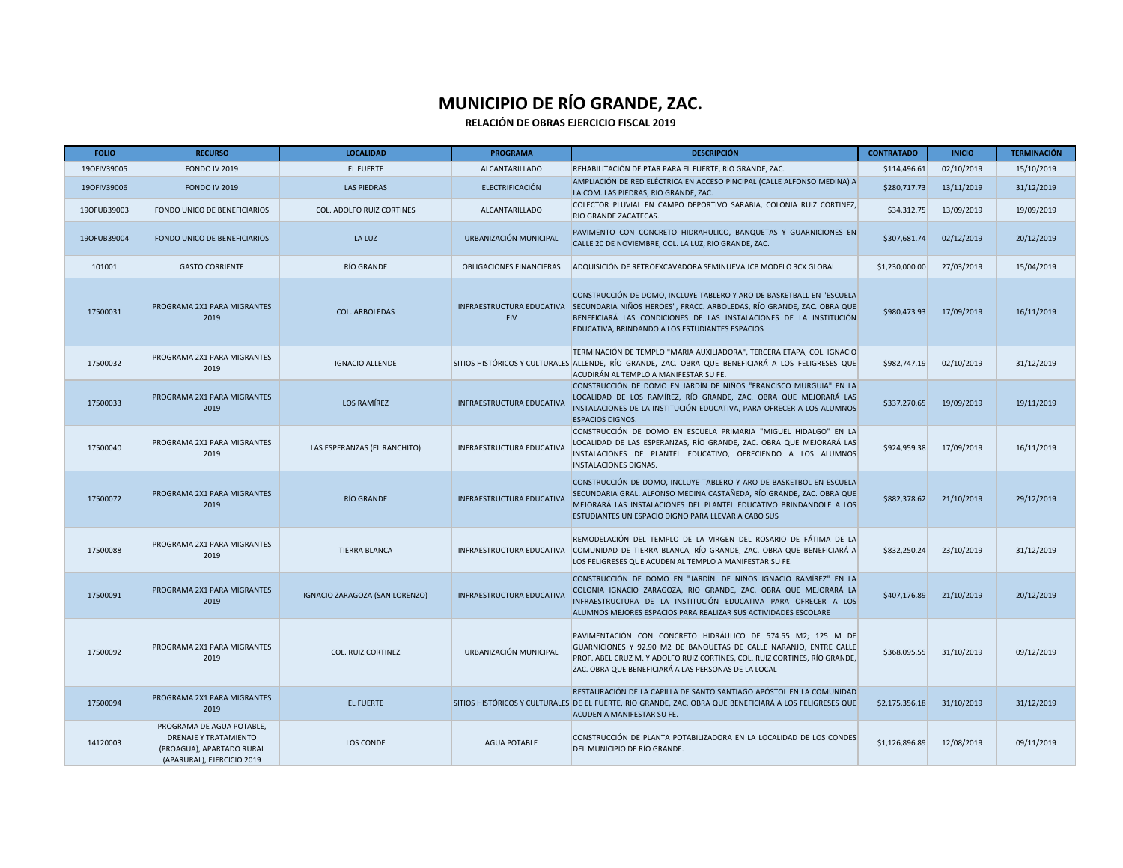| <b>FOLIO</b> | <b>RECURSO</b>                                                                                                | <b>LOCALIDAD</b>               | <b>PROGRAMA</b>                         | <b>DESCRIPCIÓN</b>                                                                                                                                                                                                                                                       | <b>CONTRATADO</b> | <b>INICIO</b> | <b>TERMINACIÓN</b> |
|--------------|---------------------------------------------------------------------------------------------------------------|--------------------------------|-----------------------------------------|--------------------------------------------------------------------------------------------------------------------------------------------------------------------------------------------------------------------------------------------------------------------------|-------------------|---------------|--------------------|
| 190FIV39005  | <b>FONDO IV 2019</b>                                                                                          | <b>EL FUERTE</b>               | <b>ALCANTARILLADO</b>                   | REHABILITACIÓN DE PTAR PARA EL FUERTE, RIO GRANDE, ZAC.                                                                                                                                                                                                                  | \$114,496.61      | 02/10/2019    | 15/10/2019         |
| 190FIV39006  | <b>FONDO IV 2019</b>                                                                                          | <b>LAS PIEDRAS</b>             | <b>ELECTRIFICACIÓN</b>                  | AMPLIACIÓN DE RED ELÉCTRICA EN ACCESO PINCIPAL (CALLE ALFONSO MEDINA) A<br>LA COM. LAS PIEDRAS, RIO GRANDE, ZAC.                                                                                                                                                         | \$280,717.73      | 13/11/2019    | 31/12/2019         |
| 19OFUB39003  | FONDO UNICO DE BENEFICIARIOS                                                                                  | COL. ADOLFO RUIZ CORTINES      | ALCANTARILLADO                          | COLECTOR PLUVIAL EN CAMPO DEPORTIVO SARABIA, COLONIA RUIZ CORTINEZ,<br>RIO GRANDE ZACATECAS.                                                                                                                                                                             | \$34,312.75       | 13/09/2019    | 19/09/2019         |
| 190FUB39004  | FONDO UNICO DE BENEFICIARIOS                                                                                  | LA LUZ                         | URBANIZACIÓN MUNICIPAL                  | PAVIMENTO CON CONCRETO HIDRAHULICO, BANQUETAS Y GUARNICIONES EN<br>CALLE 20 DE NOVIEMBRE, COL. LA LUZ, RIO GRANDE, ZAC.                                                                                                                                                  | \$307,681.74      | 02/12/2019    | 20/12/2019         |
| 101001       | <b>GASTO CORRIENTE</b>                                                                                        | RÍO GRANDE                     | <b>OBLIGACIONES FINANCIERAS</b>         | ADQUISICIÓN DE RETROEXCAVADORA SEMINUEVA JCB MODELO 3CX GLOBAL                                                                                                                                                                                                           | \$1,230,000.00    | 27/03/2019    | 15/04/2019         |
| 17500031     | PROGRAMA 2X1 PARA MIGRANTES<br>2019                                                                           | <b>COL. ARBOLEDAS</b>          | INFRAESTRUCTURA EDUCATIVA<br><b>FIV</b> | CONSTRUCCIÓN DE DOMO, INCLUYE TABLERO Y ARO DE BASKETBALL EN "ESCUELA<br>SECUNDARIA NIÑOS HEROES", FRACC. ARBOLEDAS, RÍO GRANDE, ZAC. OBRA QUE<br>BENEFICIARÁ LAS CONDICIONES DE LAS INSTALACIONES DE LA INSTITUCIÓN<br>EDUCATIVA, BRINDANDO A LOS ESTUDIANTES ESPACIOS  | \$980,473.93      | 17/09/2019    | 16/11/2019         |
| 17500032     | PROGRAMA 2X1 PARA MIGRANTES<br>2019                                                                           | <b>IGNACIO ALLENDE</b>         |                                         | TERMINACIÓN DE TEMPLO "MARIA AUXILIADORA", TERCERA ETAPA, COL. IGNACIO<br>SITIOS HISTÓRICOS Y CULTURALES ALLENDE, RÍO GRANDE, ZAC. OBRA QUE BENEFICIARÁ A LOS FELIGRESES QUE<br>ACUDIRÁN AL TEMPLO A MANIFESTAR SU FE.                                                   | \$982,747.19      | 02/10/2019    | 31/12/2019         |
| 17500033     | PROGRAMA 2X1 PARA MIGRANTES<br>2019                                                                           | LOS RAMÍREZ                    | INFRAESTRUCTURA EDUCATIVA               | CONSTRUCCIÓN DE DOMO EN JARDÍN DE NIÑOS "FRANCISCO MURGUIA" EN LA<br>LOCALIDAD DE LOS RAMÍREZ, RÍO GRANDE, ZAC. OBRA QUE MEJORARÁ LAS<br>INSTALACIONES DE LA INSTITUCIÓN EDUCATIVA, PARA OFRECER A LOS ALUMNOS<br><b>ESPACIOS DIGNOS.</b>                                | \$337,270.65      | 19/09/2019    | 19/11/2019         |
| 17500040     | PROGRAMA 2X1 PARA MIGRANTES<br>2019                                                                           | LAS ESPERANZAS (EL RANCHITO)   | INFRAESTRUCTURA EDUCATIVA               | CONSTRUCCIÓN DE DOMO EN ESCUELA PRIMARIA "MIGUEL HIDALGO" EN LA<br>LOCALIDAD DE LAS ESPERANZAS, RÍO GRANDE, ZAC. OBRA QUE MEJORARÁ LAS<br>INSTALACIONES DE PLANTEL EDUCATIVO, OFRECIENDO A LOS ALUMNOS<br><b>INSTALACIONES DIGNAS.</b>                                   | \$924,959.38      | 17/09/2019    | 16/11/2019         |
| 17500072     | PROGRAMA 2X1 PARA MIGRANTES<br>2019                                                                           | RÍO GRANDE                     | <b>INFRAESTRUCTURA EDUCATIVA</b>        | CONSTRUCCIÓN DE DOMO, INCLUYE TABLERO Y ARO DE BASKETBOL EN ESCUELA<br>SECUNDARIA GRAL. ALFONSO MEDINA CASTAÑEDA, RÍO GRANDE, ZAC. OBRA QUE<br>MEJORARÁ LAS INSTALACIONES DEL PLANTEL EDUCATIVO BRINDANDOLE A LOS<br>ESTUDIANTES UN ESPACIO DIGNO PARA LLEVAR A CABO SUS | \$882,378.62      | 21/10/2019    | 29/12/2019         |
| 17500088     | PROGRAMA 2X1 PARA MIGRANTES<br>2019                                                                           | <b>TIERRA BLANCA</b>           | INFRAESTRUCTURA EDUCATIVA               | REMODELACIÓN DEL TEMPLO DE LA VIRGEN DEL ROSARIO DE FÁTIMA DE LA<br>COMUNIDAD DE TIERRA BLANCA, RÍO GRANDE, ZAC. OBRA QUE BENEFICIARÁ A<br>LOS FELIGRESES QUE ACUDEN AL TEMPLO A MANIFESTAR SU FE.                                                                       | \$832,250.24      | 23/10/2019    | 31/12/2019         |
| 17500091     | PROGRAMA 2X1 PARA MIGRANTES<br>2019                                                                           | IGNACIO ZARAGOZA (SAN LORENZO) | INFRAESTRUCTURA EDUCATIVA               | CONSTRUCCIÓN DE DOMO EN "JARDÍN DE NIÑOS IGNACIO RAMÍREZ" EN LA<br>COLONIA IGNACIO ZARAGOZA, RIO GRANDE, ZAC. OBRA QUE MEJORARÁ LA<br>INFRAESTRUCTURA DE LA INSTITUCIÓN EDUCATIVA PARA OFRECER A LOS<br>ALUMNOS MEJORES ESPACIOS PARA REALIZAR SUS ACTIVIDADES ESCOLARE  | \$407,176.89      | 21/10/2019    | 20/12/2019         |
| 17500092     | PROGRAMA 2X1 PARA MIGRANTES<br>2019                                                                           | COL. RUIZ CORTINEZ             | URBANIZACIÓN MUNICIPAL                  | PAVIMENTACIÓN CON CONCRETO HIDRÁULICO DE 574.55 M2; 125 M DE<br>GUARNICIONES Y 92.90 M2 DE BANQUETAS DE CALLE NARANJO, ENTRE CALLE<br>PROF. ABEL CRUZ M. Y ADOLFO RUIZ CORTINES, COL. RUIZ CORTINES, RÍO GRANDE,<br>ZAC. OBRA QUE BENEFICIARÁ A LAS PERSONAS DE LA LOCAL | \$368,095.55      | 31/10/2019    | 09/12/2019         |
| 17500094     | PROGRAMA 2X1 PARA MIGRANTES<br>2019                                                                           | <b>EL FUERTE</b>               |                                         | RESTAURACIÓN DE LA CAPILLA DE SANTO SANTIAGO APÓSTOL EN LA COMUNIDAD<br>SITIOS HISTÓRICOS Y CULTURALES DE EL FUERTE, RIO GRANDE, ZAC. OBRA QUE BENEFICIARÁ A LOS FELIGRESES QUE<br>ACUDEN A MANIFESTAR SU FE.                                                            | \$2,175,356.18    | 31/10/2019    | 31/12/2019         |
| 14120003     | PROGRAMA DE AGUA POTABLE,<br>DRENAJE Y TRATAMIENTO<br>(PROAGUA), APARTADO RURAL<br>(APARURAL), EJERCICIO 2019 | LOS CONDE                      | <b>AGUA POTABLE</b>                     | CONSTRUCCIÓN DE PLANTA POTABILIZADORA EN LA LOCALIDAD DE LOS CONDES<br>DEL MUNICIPIO DE RÍO GRANDE.                                                                                                                                                                      | \$1,126,896.89    | 12/08/2019    | 09/11/2019         |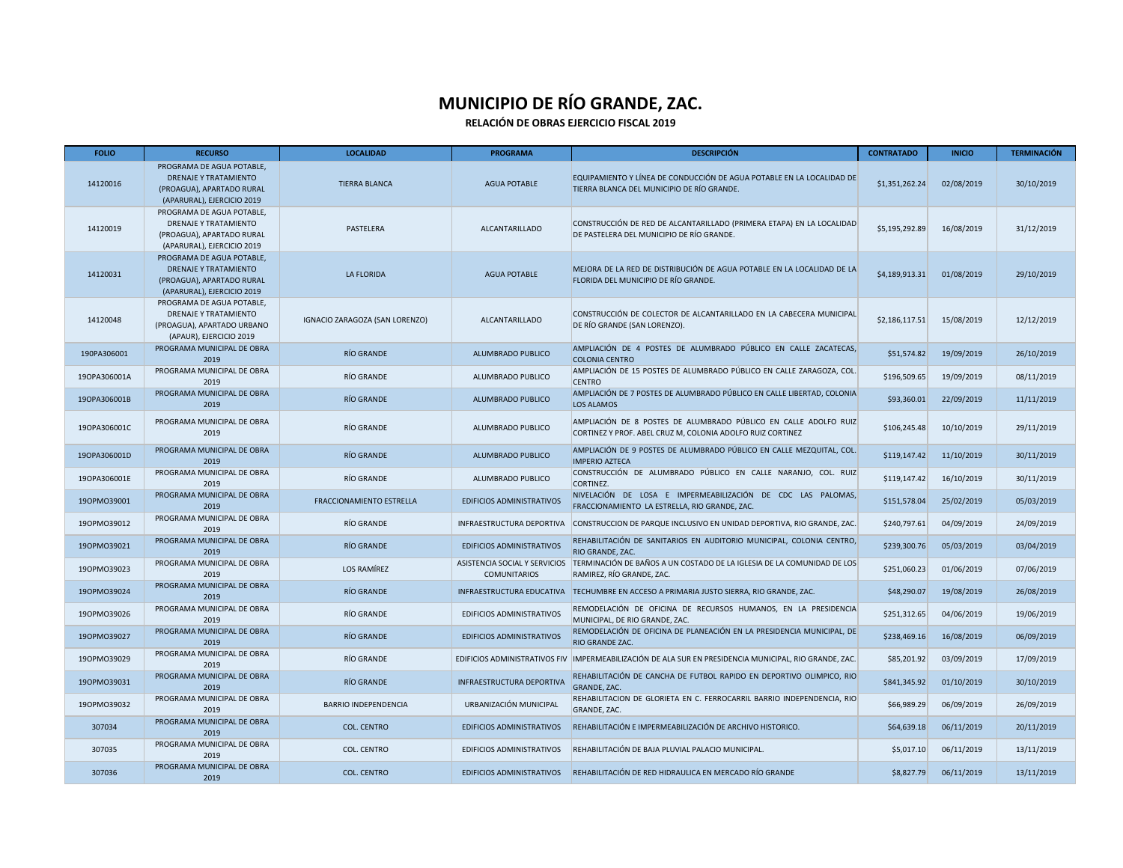| <b>FOLIO</b> | <b>RECURSO</b>                                                                                                       | <b>LOCALIDAD</b>               | <b>PROGRAMA</b>                  | <b>DESCRIPCIÓN</b>                                                                                                                | <b>CONTRATADO</b> | <b>INICIO</b> | <b>TERMINACIÓN</b> |
|--------------|----------------------------------------------------------------------------------------------------------------------|--------------------------------|----------------------------------|-----------------------------------------------------------------------------------------------------------------------------------|-------------------|---------------|--------------------|
| 14120016     | PROGRAMA DE AGUA POTABLE,<br><b>DRENAJE Y TRATAMIENTO</b><br>(PROAGUA), APARTADO RURAL<br>(APARURAL), EJERCICIO 2019 | <b>TIERRA BLANCA</b>           | <b>AGUA POTABLE</b>              | EQUIPAMIENTO Y LÍNEA DE CONDUCCIÓN DE AGUA POTABLE EN LA LOCALIDAD DE<br>TIERRA BLANCA DEL MUNICIPIO DE RÍO GRANDE.               | \$1,351,262.24    | 02/08/2019    | 30/10/2019         |
| 14120019     | PROGRAMA DE AGUA POTABLE,<br>DRENAJE Y TRATAMIENTO<br>(PROAGUA), APARTADO RURAL<br>(APARURAL), EJERCICIO 2019        | PASTELERA                      | ALCANTARILLADO                   | CONSTRUCCIÓN DE RED DE ALCANTARILLADO (PRIMERA ETAPA) EN LA LOCALIDAD<br>DE PASTELERA DEL MUNICIPIO DE RÍO GRANDE.                | \$5,195,292.89    | 16/08/2019    | 31/12/2019         |
| 14120031     | PROGRAMA DE AGUA POTABLE,<br>DRENAJE Y TRATAMIENTO<br>(PROAGUA), APARTADO RURAL<br>(APARURAL), EJERCICIO 2019        | <b>LA FLORIDA</b>              | <b>AGUA POTABLE</b>              | MEJORA DE LA RED DE DISTRIBUCIÓN DE AGUA POTABLE EN LA LOCALIDAD DE LA<br>FLORIDA DEL MUNICIPIO DE RÍO GRANDE.                    | \$4,189,913.31    | 01/08/2019    | 29/10/2019         |
| 14120048     | PROGRAMA DE AGUA POTABLE,<br>DRENAJE Y TRATAMIENTO<br>(PROAGUA), APARTADO URBANO<br>(APAUR), EJERCICIO 2019          | IGNACIO ZARAGOZA (SAN LORENZO) | ALCANTARILLADO                   | CONSTRUCCIÓN DE COLECTOR DE ALCANTARILLADO EN LA CABECERA MUNICIPAL<br>DE RÍO GRANDE (SAN LORENZO).                               | \$2,186,117.51    | 15/08/2019    | 12/12/2019         |
| 190PA306001  | PROGRAMA MUNICIPAL DE OBRA<br>2019                                                                                   | RÍO GRANDE                     | ALUMBRADO PUBLICO                | AMPLIACIÓN DE 4 POSTES DE ALUMBRADO PÚBLICO EN CALLE ZACATECAS,<br><b>COLONIA CENTRO</b>                                          | \$51,574.82       | 19/09/2019    | 26/10/2019         |
| 190PA306001A | PROGRAMA MUNICIPAL DE OBRA<br>2019                                                                                   | RÍO GRANDE                     | ALUMBRADO PUBLICO                | AMPLIACIÓN DE 15 POSTES DE ALUMBRADO PÚBLICO EN CALLE ZARAGOZA, COL.<br><b>CENTRO</b>                                             | \$196,509.65      | 19/09/2019    | 08/11/2019         |
| 19OPA306001B | PROGRAMA MUNICIPAL DE OBRA<br>2019                                                                                   | RÍO GRANDE                     | ALUMBRADO PUBLICO                | AMPLIACIÓN DE 7 POSTES DE ALUMBRADO PÚBLICO EN CALLE LIBERTAD, COLONIA<br>LOS ALAMOS                                              | \$93,360.01       | 22/09/2019    | 11/11/2019         |
| 19OPA306001C | PROGRAMA MUNICIPAL DE OBRA<br>2019                                                                                   | RÍO GRANDE                     | ALUMBRADO PUBLICO                | AMPLIACIÓN DE 8 POSTES DE ALUMBRADO PÚBLICO EN CALLE ADOLFO RUIZ<br>CORTINEZ Y PROF. ABEL CRUZ M, COLONIA ADOLFO RUIZ CORTINEZ    | \$106,245.48      | 10/10/2019    | 29/11/2019         |
| 190PA306001D | PROGRAMA MUNICIPAL DE OBRA<br>2019                                                                                   | RÍO GRANDE                     | ALUMBRADO PUBLICO                | AMPLIACIÓN DE 9 POSTES DE ALUMBRADO PÚBLICO EN CALLE MEZQUITAL, COL.<br><b>IMPERIO AZTECA</b>                                     | \$119,147.42      | 11/10/2019    | 30/11/2019         |
| 19OPA306001E | PROGRAMA MUNICIPAL DE OBRA<br>2019                                                                                   | RÍO GRANDE                     | ALUMBRADO PUBLICO                | CONSTRUCCIÓN DE ALUMBRADO PÚBLICO EN CALLE NARANJO, COL. RUIZ<br><b>CORTINEZ.</b>                                                 | \$119,147.42      | 16/10/2019    | 30/11/2019         |
| 190PM039001  | PROGRAMA MUNICIPAL DE OBRA<br>2019                                                                                   | FRACCIONAMIENTO ESTRELLA       | <b>EDIFICIOS ADMINISTRATIVOS</b> | NIVELACIÓN DE LOSA E IMPERMEABILIZACIÓN DE CDC LAS PALOMAS,<br>FRACCIONAMIENTO LA ESTRELLA, RIO GRANDE, ZAC.                      | \$151,578.04      | 25/02/2019    | 05/03/2019         |
| 190PM039012  | PROGRAMA MUNICIPAL DE OBRA<br>2019                                                                                   | RÍO GRANDE                     | INFRAESTRUCTURA DEPORTIVA        | CONSTRUCCION DE PARQUE INCLUSIVO EN UNIDAD DEPORTIVA, RIO GRANDE, ZAC.                                                            | \$240,797.61      | 04/09/2019    | 24/09/2019         |
| 190PM039021  | PROGRAMA MUNICIPAL DE OBRA<br>2019                                                                                   | RÍO GRANDE                     | <b>EDIFICIOS ADMINISTRATIVOS</b> | REHABILITACIÓN DE SANITARIOS EN AUDITORIO MUNICIPAL, COLONIA CENTRO,<br>RIO GRANDE, ZAC.                                          | \$239,300.76      | 05/03/2019    | 03/04/2019         |
| 190PM039023  | PROGRAMA MUNICIPAL DE OBRA<br>2019                                                                                   | LOS RAMÍREZ                    | <b>COMUNITARIOS</b>              | ASISTENCIA SOCIAL Y SERVICIOS TERMINACIÓN DE BAÑOS A UN COSTADO DE LA IGLESIA DE LA COMUNIDAD DE LOS<br>RAMIREZ, RÍO GRANDE, ZAC. | \$251,060.23      | 01/06/2019    | 07/06/2019         |
| 190PM039024  | PROGRAMA MUNICIPAL DE OBRA<br>2019                                                                                   | RÍO GRANDE                     |                                  | INFRAESTRUCTURA EDUCATIVA TECHUMBRE EN ACCESO A PRIMARIA JUSTO SIERRA, RIO GRANDE, ZAC.                                           | \$48,290.07       | 19/08/2019    | 26/08/2019         |
| 190PM039026  | PROGRAMA MUNICIPAL DE OBRA<br>2019                                                                                   | RÍO GRANDE                     | EDIFICIOS ADMINISTRATIVOS        | REMODELACIÓN DE OFICINA DE RECURSOS HUMANOS, EN LA PRESIDENCIA<br>MUNICIPAL, DE RIO GRANDE, ZAC.                                  | \$251,312.65      | 04/06/2019    | 19/06/2019         |
| 190PM039027  | PROGRAMA MUNICIPAL DE OBRA<br>2019                                                                                   | RÍO GRANDE                     | <b>EDIFICIOS ADMINISTRATIVOS</b> | REMODELACIÓN DE OFICINA DE PLANEACIÓN EN LA PRESIDENCIA MUNICIPAL, DE<br><b>RIO GRANDE ZAC.</b>                                   | \$238,469.16      | 16/08/2019    | 06/09/2019         |
| 190PM039029  | PROGRAMA MUNICIPAL DE OBRA<br>2019                                                                                   | RÍO GRANDE                     |                                  | EDIFICIOS ADMINISTRATIVOS FIV IMPERMEABILIZACIÓN DE ALA SUR EN PRESIDENCIA MUNICIPAL. RIO GRANDE, ZAC.                            | \$85,201.92       | 03/09/2019    | 17/09/2019         |
| 190PM039031  | PROGRAMA MUNICIPAL DE OBRA<br>2019                                                                                   | RÍO GRANDE                     | INFRAESTRUCTURA DEPORTIVA        | REHABILITACIÓN DE CANCHA DE FUTBOL RAPIDO EN DEPORTIVO OLIMPICO, RIO<br>GRANDE, ZAC.                                              | \$841,345.92      | 01/10/2019    | 30/10/2019         |
| 190PM039032  | PROGRAMA MUNICIPAL DE OBRA<br>2019                                                                                   | <b>BARRIO INDEPENDENCIA</b>    | URBANIZACIÓN MUNICIPAL           | REHABILITACION DE GLORIETA EN C. FERROCARRIL BARRIO INDEPENDENCIA, RIO<br>GRANDE, ZAC.                                            | \$66,989.29       | 06/09/2019    | 26/09/2019         |
| 307034       | PROGRAMA MUNICIPAL DE OBRA<br>2019                                                                                   | <b>COL. CENTRO</b>             | <b>EDIFICIOS ADMINISTRATIVOS</b> | REHABILITACIÓN E IMPERMEABILIZACIÓN DE ARCHIVO HISTORICO.                                                                         | \$64,639.18       | 06/11/2019    | 20/11/2019         |
| 307035       | PROGRAMA MUNICIPAL DE OBRA<br>2019                                                                                   | <b>COL. CENTRO</b>             | EDIFICIOS ADMINISTRATIVOS        | REHABILITACIÓN DE BAJA PLUVIAL PALACIO MUNICIPAL.                                                                                 | \$5,017.10        | 06/11/2019    | 13/11/2019         |
| 307036       | PROGRAMA MUNICIPAL DE OBRA<br>2019                                                                                   | <b>COL. CENTRO</b>             | EDIFICIOS ADMINISTRATIVOS        | REHABILITACIÓN DE RED HIDRAULICA EN MERCADO RÍO GRANDE                                                                            | \$8,827.79        | 06/11/2019    | 13/11/2019         |